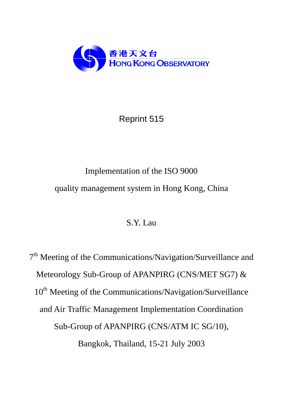

# Reprint 515

# Implementation of the ISO 9000 quality management system in Hong Kong, China

# S.Y. Lau

7<sup>th</sup> Meeting of the Communications/Navigation/Surveillance and Meteorology Sub-Group of APANPIRG (CNS/MET SG7) & 10<sup>th</sup> Meeting of the Communications/Navigation/Surveillance and Air Traffic Management Implementation Coordination Sub-Group of APANPIRG (CNS/ATM IC SG/10), Bangkok, Thailand, 15-21 July 2003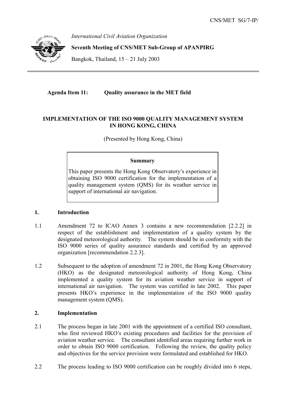

*International Civil Aviation Organization* 

**Seventh Meeting of CNS/MET Sub-Group of APANPIRG** 

Bangkok, Thailand, 15 – 21 July 2003

**Agenda Item 11: Quality assurance in the MET field** 

## **IMPLEMENTATION OF THE ISO 9000 QUALITY MANAGEMENT SYSTEM IN HONG KONG, CHINA**

(Presented by Hong Kong, China)

#### **Summary**

This paper presents the Hong Kong Observatory's experience in obtaining ISO 9000 certification for the implementation of a quality management system (QMS) for its weather service in support of international air navigation.

#### **1. Introduction**

- 1.1 Amendment 72 to ICAO Annex 3 contains a new recommendation [2.2.2] in respect of the establishment and implementation of a quality system by the designated meteorological authority. The system should be in conformity with the ISO 9000 series of quality assurance standards and certified by an approved organization [recommendation 2.2.3].
- 1.2 Subsequent to the adoption of amendment 72 in 2001, the Hong Kong Observatory (HKO) as the designated meteorological authority of Hong Kong, China implemented a quality system for its aviation weather service in support of international air navigation. The system was certified in late 2002. This paper presents HKO's experience in the implementation of the ISO 9000 quality management system (QMS).

### **2. Implementation**

- 2.1 The process began in late 2001 with the appointment of a certified ISO consultant, who first reviewed HKO's existing procedures and facilities for the provision of aviation weather service. The consultant identified areas requiring further work in order to obtain ISO 9000 certification. Following the review, the quality policy and objectives for the service provision were formulated and established for HKO.
- 2.2 The process leading to ISO 9000 certification can be roughly divided into 6 steps,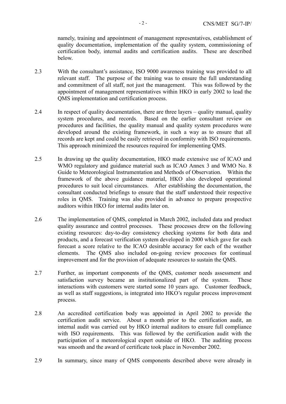namely, training and appointment of management representatives, establishment of quality documentation, implementation of the quality system, commissioning of certification body, internal audits and certification audits. These are described below.

- 2.3 With the consultant's assistance, ISO 9000 awareness training was provided to all relevant staff. The purpose of the training was to ensure the full understanding and commitment of all staff, not just the management. This was followed by the appointment of management representatives within HKO in early 2002 to lead the QMS implementation and certification process.
- 2.4 In respect of quality documentation, there are three layers quality manual, quality system procedures, and records. Based on the earlier consultant review on procedures and facilities, the quality manual and quality system procedures were developed around the existing framework, in such a way as to ensure that all records are kept and could be easily retrieved in conformity with ISO requirements. This approach minimized the resources required for implementing QMS.
- 2.5 In drawing up the quality documentation, HKO made extensive use of ICAO and WMO regulatory and guidance material such as ICAO Annex 3 and WMO No. 8 Guide to Meteorological Instrumentation and Methods of Observation. Within the framework of the above guidance material, HKO also developed operational procedures to suit local circumstances. After establishing the documentation, the consultant conducted briefings to ensure that the staff understood their respective roles in QMS. Training was also provided in advance to prepare prospective auditors within HKO for internal audits later on.
- 2.6 The implementation of QMS, completed in March 2002, included data and product quality assurance and control processes. These processes drew on the following existing resources: day-to-day consistency checking systems for both data and products, and a forecast verification system developed in 2000 which gave for each forecast a score relative to the ICAO desirable accuracy for each of the weather elements. The QMS also included on-going review processes for continual improvement and for the provision of adequate resources to sustain the QMS.
- 2.7 Further, as important components of the QMS, customer needs assessment and satisfaction survey became an institutionalized part of the system. These interactions with customers were started some 10 years ago. Customer feedback, as well as staff suggestions, is integrated into HKO's regular process improvement process.
- 2.8 An accredited certification body was appointed in April 2002 to provide the certification audit service. About a month prior to the certification audit, an internal audit was carried out by HKO internal auditors to ensure full compliance with ISO requirements. This was followed by the certification audit with the participation of a meteorological expert outside of HKO. The auditing process was smooth and the award of certificate took place in November 2002.
- 2.9 In summary, since many of QMS components described above were already in